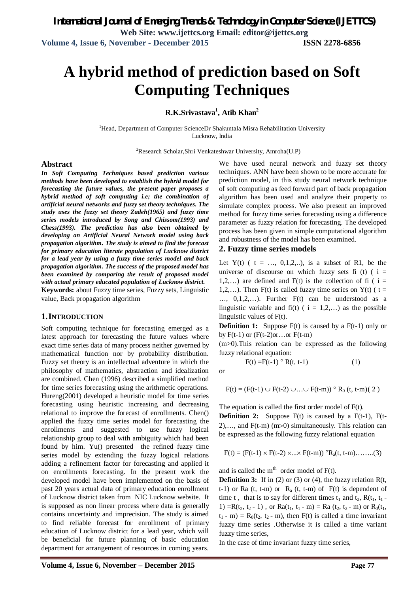# **A hybrid method of prediction based on Soft Computing Techniques**

**R.K.Srivastava<sup>1</sup> , Atib Khan<sup>2</sup>**

<sup>1</sup>Head, Department of Computer ScienceDr Shakuntala Misra Rehabilitation University Lucknow, India

<sup>2</sup>Research Scholar,Shri Venkateshwar University, Amroha(U.P)

#### **Abstract**

*In Soft Computing Techniques based prediction various methods have been developed to establish the hybrid model for forecasting the future values, the present paper proposes a hybrid method of soft computing i.e; the combination of artificial neural networks and fuzzy set theory techniques. The study uses the fuzzy set theory Zadeh(1965) and fuzzy time series models introduced by Song and Chissom(1993) and Chess(1993). The prediction has also been obtained by developing an Artificial Neural Network model using back propagation algorithm. The study is aimed to find the forecast for primary education literate population of Lucknow district for a lead year by using a fuzzy time series model and back propagation algorithm. The success of the proposed model has been examined by comparing the result of proposed model with actual primary educated population of Lucknow district.* 

**Keywords:** about Fuzzy time series, Fuzzy sets, Linguistic value, Back propagation algorithm

#### **1.INTRODUCTION**

Soft computing technique for forecasting emerged as a latest approach for forecasting the future values where exact time series data of many process neither governed by mathematical function nor by probability distribution. Fuzzy set theory is an intellectual adventure in which the philosophy of mathematics, abstraction and idealization are combined. Chen (1996) described a simplified method for time series forecasting using the arithmetic operations. Hureng(2001) developed a heuristic model for time series forecasting using heuristic increasing and decreasing relational to improve the forecast of enrollments. Chen() applied the fuzzy time series model for forecasting the enrollments and suggested to use fuzzy logical relationship group to deal with ambiguity which had been found by him. Yu() presented the refined fuzzy time series model by extending the fuzzy logical relations adding a refinement factor for forecasting and applied it on enrollments forecasting. In the present work the developed model have been implemented on the basis of past 20 years actual data of primary education enrollment of Lucknow district taken from NIC Lucknow website. It is supposed as non linear process where data is generally contains uncertainty and imprecision. The study is aimed to find reliable forecast for enrollment of primary education of Lucknow district for a lead year, which will be beneficial for future planning of basic education department for arrangement of resources in coming years.

We have used neural network and fuzzy set theory techniques. ANN have been shown to be more accurate for prediction model, in this study neural network technique of soft computing as feed forward part of back propagation algorithm has been used and analyze their property to simulate complex process. We also present an improved method for fuzzy time series forecasting using a difference parameter as fuzzy relation for forecasting. The developed process has been given in simple computational algorithm and robustness of the model has been examined.

#### **2. Fuzzy time series models**

Let Y(t) (  $t = ..., 0,1,2,...$ ), is a subset of R1, be the universe of discourse on which fuzzy sets fi (t)  $(i =$ 1,2,...) are defined and  $F(t)$  is the collection of fi ( i = 1,2,...). Then F(t) is called fuzzy time series on Y(t) ( $t =$ …, 0,1,2,…). Further F(t) can be understood as a linguistic variable and fi(t) (  $i = 1,2,...$  as the possible linguistic values of F(t).

**Definition 1:** Suppose F(t) is caused by a F(t-1) only or by  $F(t-1)$  or  $(F(t-2)$ or...or  $F(t-m)$ 

(m>0).This relation can be expressed as the following fuzzy relational equation:

 $F(t) = F(t-1) \circ R(t, t-1)$  (1)

or

$$
F(t)=(F(t\text{-}1)\cup F(t\text{-}2)\cup\ldots\cup F(t\text{-}m))\mathbin{\raisebox{.3pt}{\scriptsize o}} R_0\ (t,\,t\text{-}m)(\ 2\ )
$$

The equation is called the first order model of F(t).

**Definition 2:** Suppose F(t) is caused by a F(t-1), F(t-2),..., and  $F(t-m)$  (m>0) simultaneously. This relation can be expressed as the following fuzzy relational equation

$$
F(t)=(F(t-1)\times F(t-2)\times...\times F(t-m))\ ^{\circ }R_{a}(t,\ t-m)........(3)
$$

and is called the  $m<sup>th</sup>$  order model of  $F(t)$ .

**Definition 3:** If in (2) or (3) or (4), the fuzzy relation R(t, t-1) or Ra (t, t-m) or  $R_a$  (t, t-m) of  $F(t)$  is dependent of time t, that is to say for different times  $t_1$  and  $t_2$ ,  $R(t_1, t_1 -$ 1) =R(t<sub>2</sub>, t<sub>2</sub> - 1), or Ra(t<sub>1</sub>, t<sub>1</sub> - m) = Ra (t<sub>2</sub>, t<sub>2</sub> - m) or R<sub>0</sub>(t<sub>1</sub>,  $t_1$  - m) = R<sub>0</sub>( $t_2$ ,  $t_2$  - m), then F(t) is called a time invariant fuzzy time series .Otherwise it is called a time variant fuzzy time series,

In the case of time invariant fuzzy time series,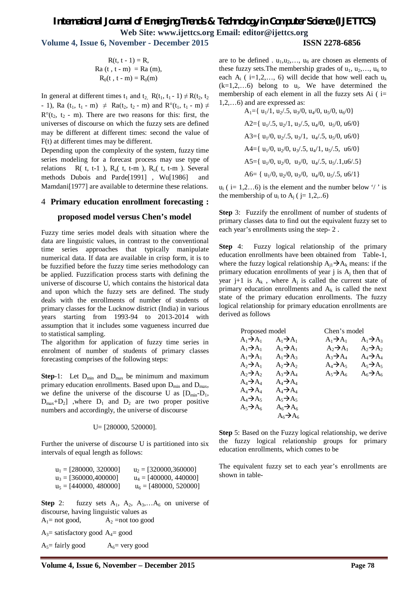### *International Journal of Emerging Trends & Technology in Computer Science (IJETTCS)* **Web Site: www.ijettcs.org Email: editor@ijettcs.org Volume 4, Issue 6, November - December 2015 ISSN 2278-6856**

 $R(t, t - 1) = R$ ,  $Ra (t, t - m) = Ra (m),$  $R_0(t, t - m) = R_0(m)$ 

In general at different times  $t_1$  and  $t_2$ ,  $R(t_1, t_1 - 1) \neq R(t_2, t_2)$ - 1), Ra (t<sub>1</sub>, t<sub>1</sub> - m)  $\neq$  Ra(t<sub>2</sub>, t<sub>2</sub> - m) and R°(t<sub>1</sub>, t<sub>1</sub> - m)  $\neq$  $R^{o}(t_{2}, t_{2} - m)$ . There are two reasons for this: first, the universes of discourse on which the fuzzy sets are defined may be different at different times: second the value of F(t) at different times may be different.

Depending upon the complexity of the system, fuzzy time series modeling for a forecast process may use type of relations  $R(t, t-1)$ ,  $R_a(t, t-m)$ ,  $R_o(t, t-m)$ . Several methods Dubois and Parde[1991] , Wu[1986] and Mamdani<sup>[1977]</sup> are available to determine these relations.

#### 4 **Primary education enrollment forecasting :**

#### **proposed model versus Chen's model**

Fuzzy time series model deals with situation where the data are linguistic values, in contrast to the conventional time series approaches that typically manipulate numerical data. If data are available in crisp form, it is to be fuzzified before the fuzzy time series methodology can be applied. Fuzzification process starts with defining the universe of discourse U, which contains the historical data and upon which the fuzzy sets are defined. The study deals with the enrollments of number of students of primary classes for the Lucknow district (India) in various years starting from 1993-94 to 2013-2014 with assumption that it includes some vagueness incurred due to statistical sampling.

The algorithm for application of fuzzy time series in enrolment of number of students of primary classes forecasting comprises of the following steps:

**Step**-1: Let  $D_{min}$  and  $D_{max}$  be minimum and maximum primary education enrollments. Based upon  $D_{min}$  and  $D_{max}$ , we define the universe of the discourse U as  $[D_{min}-D_1,$  $D_{\text{max}}+D_2$ ] ,where  $D_1$  and  $D_2$  are two proper positive numbers and accordingly, the universe of discourse

#### U= [280000, 520000].

Further the universe of discourse U is partitioned into six intervals of equal length as follows:

| $u_1 = [280000, 320000]$ | $u_2 = 1320000, 3600001$ |
|--------------------------|--------------------------|
| $u_3 = 1360000,4000001$  | $u_4 = [400000, 440000]$ |
| $u_5 = [440000, 480000]$ | $u_6 = [480000, 520000]$ |

**Step 2:** fuzzy sets  $A_1$ ,  $A_2$ ,  $A_3$ ,  $A_6$  on universe of discourse, having linguistic values as  $A_1$ = not good,  $A_2$ =not too good

 $A_3$ = satisfactory good  $A_4$ = good

 $A_5$ = fairly good  $A_6$ = very good

are to be defined .  $u_1, u_2, \ldots, u_6$  are chosen as elements of these fuzzy sets. The membership grades of  $u_1, u_2, \ldots, u_6$  to each  $A_i$  ( i=1,2,..., 6) will decide that how well each  $u_k$  $(k=1,2,...6)$  belong to  $u_i$ . We have determined the membership of each element in all the fuzzy sets Ai  $(i=$ 1,2,…6) and are expressed as:

> $A_1 = \{ u_1/1, u_2/0, u_3/0, u_4/0, u_5/0, u_6/0 \}$ A2={ $u_1$ /.5,  $u_2$ /1,  $u_3$ /.5,  $u_4$ /0,  $u_5$ /0,  $u_6$ /0} A3={ $u_1/0$ ,  $u_2/0.5$ ,  $u_3/1$ ,  $u_4/0.5$ ,  $u_5/0$ ,  $u_6/0$ } A4={ $u_1/0$ ,  $u_2/0$ ,  $u_3/0.5$ ,  $u_4/1$ ,  $u_5/0.5$ ,  $u_6/0$ } A5={ $u_1/0$ ,  $u_2/0$ ,  $u_3/0$ ,  $u_4/0.5$ ,  $u_5/0.1$ ,  $u_6/0.5$ } A6= { $u_1/0$ ,  $u_2/0$ ,  $u_3/0$ ,  $u_4/0$ ,  $u_5/0.5$ ,  $u_6/1$ }

 $u_i$  ( i= 1,2...6) is the element and the number below '/' is the membership of  $u_i$  to  $A_j$  ( j= 1,2,..6)

**Step** 3: Fuzzify the enrollment of number of students of primary classes data to find out the equivalent fuzzy set to each year's enrollments using the step- 2 .

**Step** 4: Fuzzy logical relationship of the primary education enrollments have been obtained from Table-1, where the fuzzy logical relationship  $A_{i1} \rightarrow A_k$  means: if the primary education enrollments of year  $j$  is  $A_j$  then that of year j+1 is  $A_k$ , where  $A_j$  is called the current state of primary education enrollments and  $A_k$  is called the next state of the primary education enrollments. The fuzzy logical relationship for primary education enrollments are derived as follows

| Proposed model        |                       |                       | Chen's model          |  |  |
|-----------------------|-----------------------|-----------------------|-----------------------|--|--|
| $A_1 \rightarrow A_1$ | $A_1 \rightarrow A_1$ | $A_1 \rightarrow A_1$ | $A_1 \rightarrow A_3$ |  |  |
| $A_1 \rightarrow A_1$ | $A_1 \rightarrow A_1$ | $A_2 \rightarrow A_1$ | $A_2 \rightarrow A_2$ |  |  |
| $A_1 \rightarrow A_1$ | $A_1 \rightarrow A_3$ | $A_3 \rightarrow A_4$ | $A_4 \rightarrow A_4$ |  |  |
| $A_2 \rightarrow A_1$ | $A_2 \rightarrow A_2$ | $A_4 \rightarrow A_5$ | $A_5 \rightarrow A_5$ |  |  |
| $A_2 \rightarrow A_2$ | $A_3 \rightarrow A_4$ | $A_5 \rightarrow A_6$ | $A_6 \rightarrow A_6$ |  |  |
| $A_4 \rightarrow A_4$ | $A_4 \rightarrow A_4$ |                       |                       |  |  |
| $A_4 \rightarrow A_4$ | $A_4 \rightarrow A_4$ |                       |                       |  |  |
| $A_4 \rightarrow A_5$ | $A_5 \rightarrow A_5$ |                       |                       |  |  |
| $A_5 \rightarrow A_6$ | $A_6 \rightarrow A_6$ |                       |                       |  |  |
|                       | $A_6 \rightarrow A_6$ |                       |                       |  |  |

**Step** 5: Based on the Fuzzy logical relationship, we derive the fuzzy logical relationship groups for primary education enrollments, which comes to be

The equivalent fuzzy set to each year's enrollments are shown in table-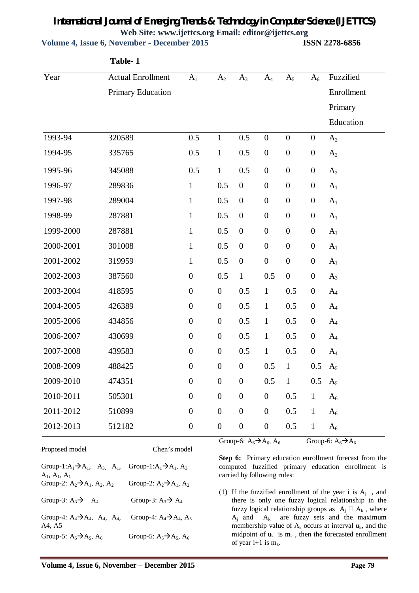**Volume 4, Issue 6, November - December 2015 ISSN 2278-6856**

|           | Table-1                  |                  |                  |                  |                  |                  |                  |                |
|-----------|--------------------------|------------------|------------------|------------------|------------------|------------------|------------------|----------------|
| Year      | <b>Actual Enrollment</b> | A <sub>1</sub>   | A <sub>2</sub>   | $A_3$            | $A_4$            | $A_5$            | $A_6$            | Fuzzified      |
|           | Primary Education        |                  |                  |                  |                  |                  |                  | Enrollment     |
|           |                          |                  |                  |                  |                  |                  |                  | Primary        |
|           |                          |                  |                  |                  |                  |                  |                  | Education      |
| 1993-94   | 320589                   | 0.5              | $\mathbf{1}$     | 0.5              | $\boldsymbol{0}$ | $\boldsymbol{0}$ | $\boldsymbol{0}$ | A <sub>2</sub> |
| 1994-95   | 335765                   | 0.5              | $\mathbf{1}$     | 0.5              | $\boldsymbol{0}$ | $\boldsymbol{0}$ | $\boldsymbol{0}$ | A <sub>2</sub> |
| 1995-96   | 345088                   | 0.5              | $\mathbf{1}$     | 0.5              | $\boldsymbol{0}$ | $\boldsymbol{0}$ | $\boldsymbol{0}$ | A <sub>2</sub> |
| 1996-97   | 289836                   | $\mathbf{1}$     | 0.5              | $\boldsymbol{0}$ | $\boldsymbol{0}$ | $\boldsymbol{0}$ | $\boldsymbol{0}$ | A <sub>1</sub> |
| 1997-98   | 289004                   | $\mathbf{1}$     | 0.5              | $\boldsymbol{0}$ | $\boldsymbol{0}$ | $\boldsymbol{0}$ | $\boldsymbol{0}$ | A <sub>1</sub> |
| 1998-99   | 287881                   | $\mathbf{1}$     | 0.5              | $\boldsymbol{0}$ | $\boldsymbol{0}$ | $\boldsymbol{0}$ | $\boldsymbol{0}$ | A <sub>1</sub> |
| 1999-2000 | 287881                   | $\mathbf{1}$     | 0.5              | $\boldsymbol{0}$ | $\boldsymbol{0}$ | $\boldsymbol{0}$ | $\boldsymbol{0}$ | A <sub>1</sub> |
| 2000-2001 | 301008                   | $\mathbf{1}$     | 0.5              | $\boldsymbol{0}$ | $\boldsymbol{0}$ | $\boldsymbol{0}$ | $\boldsymbol{0}$ | A <sub>1</sub> |
| 2001-2002 | 319959                   | $\mathbf{1}$     | 0.5              | $\boldsymbol{0}$ | $\boldsymbol{0}$ | $\boldsymbol{0}$ | $\boldsymbol{0}$ | A <sub>1</sub> |
| 2002-2003 | 387560                   | $\boldsymbol{0}$ | 0.5              | $\mathbf{1}$     | 0.5              | $\boldsymbol{0}$ | $\boldsymbol{0}$ | $A_3$          |
| 2003-2004 | 418595                   | $\boldsymbol{0}$ | $\boldsymbol{0}$ | 0.5              | $\mathbf{1}$     | 0.5              | $\boldsymbol{0}$ | $A_4$          |
| 2004-2005 | 426389                   | $\boldsymbol{0}$ | $\boldsymbol{0}$ | 0.5              | $\mathbf{1}$     | 0.5              | $\boldsymbol{0}$ | $A_4$          |
| 2005-2006 | 434856                   | $\boldsymbol{0}$ | $\boldsymbol{0}$ | 0.5              | $\mathbf{1}$     | 0.5              | $\boldsymbol{0}$ | $A_4$          |
| 2006-2007 | 430699                   | $\boldsymbol{0}$ | $\boldsymbol{0}$ | 0.5              | $\mathbf{1}$     | 0.5              | $\boldsymbol{0}$ | $A_4$          |
| 2007-2008 | 439583                   | $\boldsymbol{0}$ | $\boldsymbol{0}$ | 0.5              | $\mathbf{1}$     | 0.5              | $\boldsymbol{0}$ | $A_4$          |
| 2008-2009 | 488425                   | $\boldsymbol{0}$ | $\boldsymbol{0}$ | $\boldsymbol{0}$ | 0.5              | $\mathbf{1}$     | 0.5              | A <sub>5</sub> |
| 2009-2010 | 474351                   | $\boldsymbol{0}$ | $\boldsymbol{0}$ | $\boldsymbol{0}$ | 0.5              | $\mathbf{1}$     | 0.5              | $A_5$          |
| 2010-2011 | 505301                   | $\boldsymbol{0}$ | $\boldsymbol{0}$ | $\boldsymbol{0}$ | $\boldsymbol{0}$ | 0.5              | $\mathbf{1}$     | $A_6$          |
| 2011-2012 | 510899                   | $\boldsymbol{0}$ | $\boldsymbol{0}$ | $\boldsymbol{0}$ | $\boldsymbol{0}$ | 0.5              | $\mathbf{1}$     | $A_6$          |
| 2012-2013 | 512182                   | $\boldsymbol{0}$ | $\boldsymbol{0}$ | $\boldsymbol{0}$ | $\boldsymbol{0}$ | 0.5              | $\mathbf{1}$     | $A_6$          |

Proposed model Chen's model

Group-6:  $A_6 \rightarrow A_6$ ,  $A_6$  Group-6:  $A_6 \rightarrow A_6$ 

| Group-1: $A_1 \rightarrow A_1$ , $A_3$ , $A_1$ ,<br>$A_1, A_1, A_1$ | Group-1: $A_1 \rightarrow A_1$ , $A_3$ |
|---------------------------------------------------------------------|----------------------------------------|
| Group-2: $A_2 \rightarrow A_1$ , $A_2$ , $A_2$                      | Group-2: $A_2 \rightarrow A_1$ , $A_2$ |
| Group-3: $A_3 \rightarrow A_4$                                      | Group-3: $A_3 \rightarrow A_4$         |
| Group-4: $A_4 \rightarrow A_4$ , $A_4$ , $A_4$ ,<br>A4, A5          | Group-4: $A_4 \rightarrow A_4$ , $A_5$ |
| Group-5: $A_5 \rightarrow A_5$ , $A_6$                              | Group-5: $A_5 \rightarrow A_5$ , $A_6$ |

**Step 6:** Primary education enrollment forecast from the computed fuzzified primary education enrollment is carried by following rules:

(1) If the fuzzified enrollment of the year i is  $A_j$ , and there is only one fuzzy logical relationship in the fuzzy logical relationship groups as  $A_i \square A_k$ , where  $A_i$  and  $A_k$  are fuzzy sets and the maximum membership value of  $A_k$  occurs at interval  $u_k$ , and the midpoint of  $u_k$  is  $m_k$ , then the forecasted enrollment of year i+1 is  $m_k$ .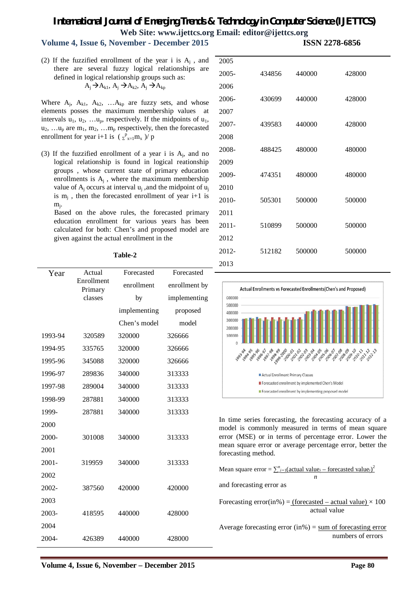### **Volume 4, Issue 6, November - December 2015 ISSN 2278-6856**

(2) If the fuzzified enrollment of the year i is  $A_j$ , and there are several fuzzy logical relationships are defined in logical relationship groups such as:  $A_i \rightarrow A_{k1}$ ,  $A_i \rightarrow A_{k2}$ ,  $A_i \rightarrow A_{kp}$ 

Where  $A_j$ ,  $A_{k1}$ ,  $A_{k2}$ , ...  $A_{kp}$  are fuzzy sets, and whose elements posses the maximum membership values at intervals  $u_1, u_2, \ldots u_p$ , respectively. If the midpoints of  $u_1$ ,  $u_2, \ldots u_p$  are  $m_1, m_2, \ldots m_p$  respectively, then the forecasted enrollment for year i+1 is  $(\Sigma_{x=1}^p m_x)/p$ 

(3) If the fuzzified enrollment of a year i is  $A_j$ , and no logical relationship is found in logical reationship groups , whose current state of primary education enrollments is  $A_j$ , where the maximum membership value of  $A_j$  occurs at interval  $u_j$ , and the midpoint of  $u_j$ is  $m_j$ , then the forecasted enrollment of year  $i+1$  is mj .

 Based on the above rules, the forecasted primary education enrollment for various years has been calculated for both: Chen's and proposed model are given against the actual enrollment in the

#### **Table-2**

| Year     | Actual                | Forecasted   | Forecasted    |
|----------|-----------------------|--------------|---------------|
|          | Enrollment<br>Primary | enrollment   | enrollment by |
|          | classes               | by           | implementing  |
|          |                       | implementing | proposed      |
|          |                       | Chen's model | model         |
| 1993-94  | 320589                | 320000       | 326666        |
| 1994-95  | 335765                | 320000       | 326666        |
| 1995-96  | 345088                | 320000       | 326666        |
| 1996-97  | 289836                | 340000       | 313333        |
| 1997-98  | 289004                | 340000       | 313333        |
| 1998-99  | 287881                | 340000       | 313333        |
| 1999-    | 287881                | 340000       | 313333        |
| 2000     |                       |              |               |
| 2000-    | 301008                | 340000       | 313333        |
| 2001     |                       |              |               |
| $2001 -$ | 319959                | 340000       | 313333        |
| 2002     |                       |              |               |
| 2002-    | 387560                | 420000       | 420000        |
| 2003     |                       |              |               |
| 2003-    | 418595                | 440000       | 428000        |
| 2004     |                       |              |               |
| 2004-    | 426389                | 440000       | 428000        |

| 2005     |        |        |        |
|----------|--------|--------|--------|
| $2005 -$ | 434856 | 440000 | 428000 |
| 2006     |        |        |        |
| $2006 -$ | 430699 | 440000 | 428000 |
| 2007     |        |        |        |
| 2007-    | 439583 | 440000 | 428000 |
| 2008     |        |        |        |
| 2008-    | 488425 | 480000 | 480000 |
| 2009     |        |        |        |
| 2009-    | 474351 | 480000 | 480000 |
| 2010     |        |        |        |
| $2010-$  | 505301 | 500000 | 500000 |
| 2011     |        |        |        |
| $2011 -$ | 510899 | 500000 | 500000 |
| 2012     |        |        |        |
| 2012-    | 512182 | 500000 | 500000 |
| 2013     |        |        |        |



In time series forecasting, the forecasting accuracy of a model is commonly measured in terms of mean square error (MSE) or in terms of percentage error. Lower the mean square error or average percentage error, better the forecasting method.

Mean square error =  $\sum_{i=1}^{n}$  (actual value<sub>*i*</sub> – forecasted value<sub>*i*</sub>)<sup>2</sup> *n* and forecasting error as Forecasting error(in%) = (forecasted – actual value)  $\times$  100 actual value

Average forecasting error  $(in\%) = sum$  of forecasting error numbers of errors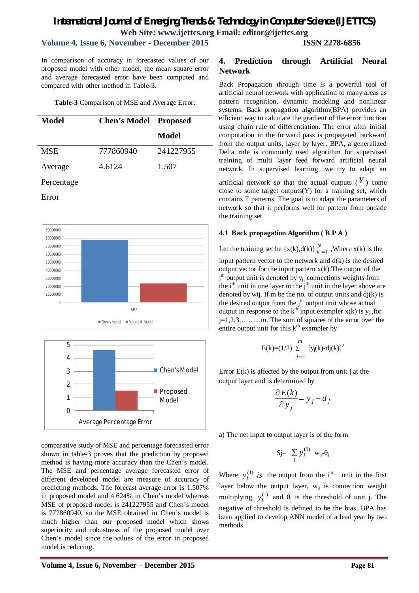### **Volume 4, Issue 6, November - December 2015 ISSN 2278-6856**

In comparison of accuracy in forecasted values of our proposed model with other model, the mean square error and average forecasted error have been computed and compared with other method in Table-3.

**Table-3** Comparison of MSE and Average Error:

| Model      | <b>Chen's Model Proposed</b> |           |
|------------|------------------------------|-----------|
|            |                              | Model     |
| <b>MSE</b> | 777860940                    | 241227955 |
| Average    | 4.6124                       | 1.507     |
| Percentage |                              |           |
| Error      |                              |           |





comparative study of MSE and percentage forecasted error shown in table-3 proves that the prediction by proposed method is having more accuracy than the Chen's model. The MSE and percentage average forecasted error of different developed model are measure of accuracy of predicting methods. The forecast average error is 1.507% in proposed model and 4.624% in Chen's model whereas MSE of proposed model is 241227955 and Chen's model is 777860940, so the MSE obtained in Chen's model is much higher than our proposed model which shows superiority and robustness of the proposed model over Chen's model since the values of the error in proposed model is reducing.

### **4. Prediction through Artificial Neural Network**

Back Propagation through time is a powerful tool of artificial neural network with application to many areas as pattern recognition, dynamic modeling and nonlinear systems. Back propagation algorithm(BPA) provides an efficient way to calculate the gradient of the error function using chain rule of differentiation. The error after initial computation in the forward pass is propagated backward from the output units, layer by layer. BPA, a generalized Delta rule is commonly used algorithm for supervised training of multi layer feed forward artificial neural network. In supervised learning, we try to adapt an artificial network so that the actual outputs  $(Y)$  come close to some target outputs(Y) for a training set, which contains T patterns. The goal is to adapt the parameters of network so that it performs well for pattern from outside the training set.

#### **4.1 Back propagation Algorithm ( B P A )**

Let the training set be  $\{x(k),d(k)\}\big|_{k=1}^{N}$  , Where  $x(k)$  is the input pattern vector to the network and d(k) is the desired output vector for the input pattern  $x(k)$ . The output of the j<sup>th</sup> output unit is denoted by y<sub>j</sub>, connections weights from the  $i<sup>th</sup>$  unit in one layer to the  $j<sup>th</sup>$  unit in the layer above are denoted by wij. If m be the no. of output units and  $dj(k)$  is the desired output from the  $j<sup>th</sup>$  output unit whose actual output in response to the  $k<sup>th</sup>$  input exempler  $x(k)$  is  $y<sub>j</sub>$ , for j=1,2,3,……..,m. The sum of squares of the error over the entire output unit for this  $k<sup>th</sup>$  exampler by

$$
E(k)=(1/2)\sum_{j=1}^{m} [y_j(k)-dj(k)]^2
$$

Error  $E(k)$  is affected by the output from unit j at the output layer and is determined by

$$
\frac{\partial E(k)}{\partial y_j} = y_j - d_j
$$

a) The net input to output layer is of the form

$$
Sj = \sum_i y_i^{(1)} w_{ij} \theta_j
$$

Where  $y_i^{(1)}$  is the output from the i<sup>th</sup> unit in the first layer below the output layer,  $w_{ij}$  is connection weight multiplying  $y_i^{(1)}$  and  $\theta_j$  is the threshold of unit j. The negative of threshold is defined to be the bias. BPA has been applied to develop ANN model of a lead year by two methods.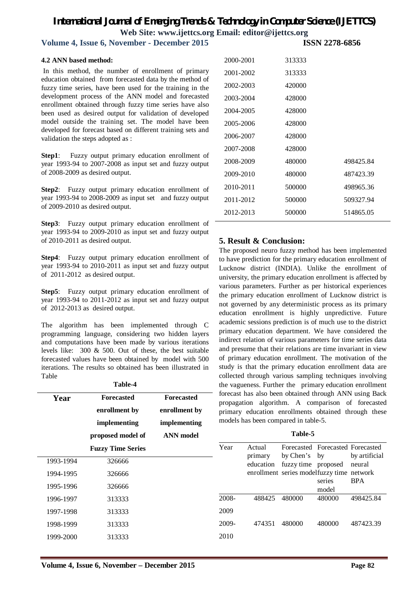**Volume 4, Issue 6, November - December 2015** 

#### **4.2 ANN based method:**

In this method, the number of enrollment of primary education obtained from forecasted data by the method of fuzzy time series, have been used for the training in the development process of the ANN model and forecasted enrollment obtained through fuzzy time series have also been used as desired output for validation of developed model outside the training set. The model have been developed for forecast based on different training sets and validation the steps adopted as :

**Step1**: Fuzzy output primary education enrollment of year 1993-94 to 2007-2008 as input set and fuzzy output of 2008-2009 as desired output.

**Step2**: Fuzzy output primary education enrollment of year 1993-94 to 2008-2009 as input set and fuzzy output of 2009-2010 as desired output.

**Step3**: Fuzzy output primary education enrollment of year 1993-94 to 2009-2010 as input set and fuzzy output of 2010-2011 as desired output.

**Step4**: Fuzzy output primary education enrollment of year 1993-94 to 2010-2011 as input set and fuzzy output of 2011-2012 as desired output.

**Step5**: Fuzzy output primary education enrollment of year 1993-94 to 2011-2012 as input set and fuzzy output of 2012-2013 as desired output.

The algorithm has been implemented through C programming language, considering two hidden layers and computations have been made by various iterations levels like: 300 & 500. Out of these, the best suitable forecasted values have been obtained by model with 500 iterations. The results so obtained has been illustrated in Table

| ı<br>anı |
|----------|
|----------|

| Year      | <b>Forecasted</b>        | <b>Forecasted</b> |
|-----------|--------------------------|-------------------|
|           | enrollment by            | enrollment by     |
|           | implementing             | implementing      |
|           | proposed model of        | <b>ANN</b> model  |
|           | <b>Fuzzy Time Series</b> |                   |
| 1993-1994 | 326666                   |                   |
| 1994-1995 | 326666                   |                   |
| 1995-1996 | 326666                   |                   |
| 1996-1997 | 313333                   |                   |
| 1997-1998 | 313333                   |                   |
| 1998-1999 | 313333                   |                   |
| 1999-2000 | 313333                   |                   |
|           |                          |                   |

| 2000-2001 | 313333 |           |
|-----------|--------|-----------|
| 2001-2002 | 313333 |           |
| 2002-2003 | 420000 |           |
| 2003-2004 | 428000 |           |
| 2004-2005 | 428000 |           |
| 2005-2006 | 428000 |           |
| 2006-2007 | 428000 |           |
| 2007-2008 | 428000 |           |
| 2008-2009 | 480000 | 498425.84 |
| 2009-2010 | 480000 | 487423.39 |
| 2010-2011 | 500000 | 498965.36 |
| 2011-2012 | 500000 | 509327.94 |
| 2012-2013 | 500000 | 514865.05 |

### **5. Result & Conclusion:**

The proposed neuro fuzzy method has been implemented to have prediction for the primary education enrollment of Lucknow district (INDIA). Unlike the enrollment of university, the primary education enrollment is affected by various parameters. Further as per historical experiences the primary education enrollment of Lucknow district is not governed by any deterministic process as its primary education enrollment is highly unpredictive. Future academic sessions prediction is of much use to the district primary education department. We have considered the indirect relation of various parameters for time series data and presume that their relations are time invariant in view of primary education enrollment. The motivation of the study is that the primary education enrollment data are collected through various sampling techniques involving the vagueness. Further the primary education enrollment forecast has also been obtained through ANN using Back propagation algorithm. A comparison of forecasted primary education enrollments obtained through these models has been compared in table-5.

| 'able |  |
|-------|--|
|-------|--|

| Year  | Actual    | Forecasted Forecasted Forecasted          |        |               |
|-------|-----------|-------------------------------------------|--------|---------------|
|       | primary   | by Chen's by                              |        | by artificial |
|       | education | fuzzy time proposed                       |        | neural        |
|       |           | enrollment series modelfuzzy time network |        |               |
|       |           |                                           | series | <b>BPA</b>    |
|       |           |                                           | model  |               |
| 2008- | 488425    | 480000                                    | 480000 | 498425.84     |
| 2009  |           |                                           |        |               |
| 2009- | 474351    | 480000                                    | 480000 | 487423.39     |
| 2010  |           |                                           |        |               |